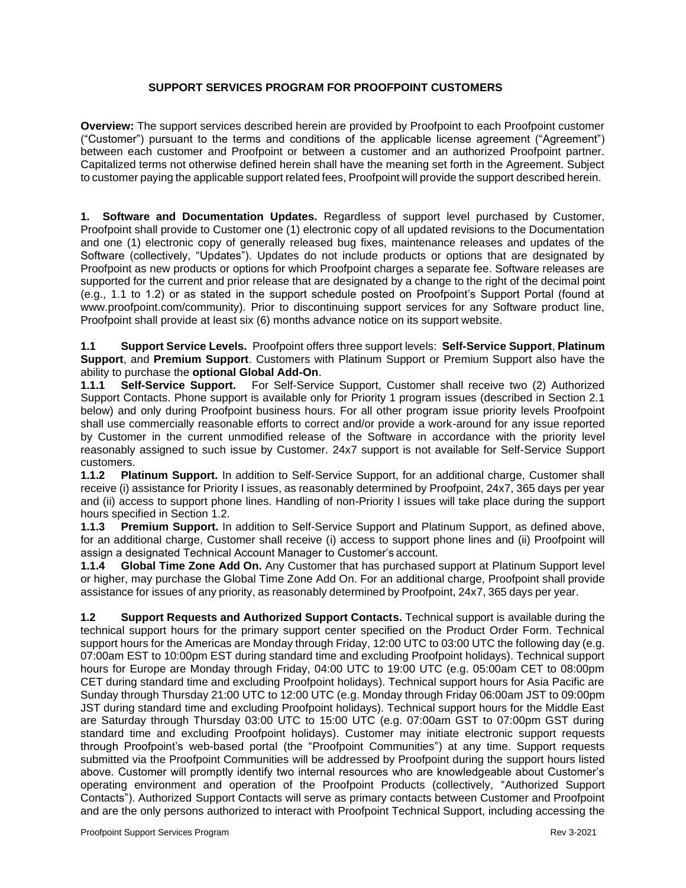# **SUPPORT SERVICES PROGRAM FOR PROOFPOINT CUSTOMERS**

**Overview:** The support services described herein are provided by Proofpoint to each Proofpoint customer ("Customer") pursuant to the terms and conditions of the applicable license agreement ("Agreement") between each customer and Proofpoint or between a customer and an authorized Proofpoint partner. Capitalized terms not otherwise defined herein shall have the meaning set forth in the Agreement. Subject to customer paying the applicable support related fees, Proofpoint will provide the support described herein.

**1. Software and Documentation Updates.** Regardless of support level purchased by Customer, Proofpoint shall provide to Customer one (1) electronic copy of all updated revisions to the Documentation and one (1) electronic copy of generally released bug fixes, maintenance releases and updates of the Software (collectively, "Updates"). Updates do not include products or options that are designated by Proofpoint as new products or options for which Proofpoint charges a separate fee. Software releases are supported for the current and prior release that are designated by a change to the right of the decimal point (e.g., 1.1 to 1.2) or as stated in the support schedule posted on Proofpoint's Support Portal (found at www.proofpoint.com/community). Prior to discontinuing support services for any Software product line, Proofpoint shall provide at least six (6) months advance notice on its support website.

**1.1 Support Service Levels.** Proofpoint offers three support levels: **Self-Service Support**, **Platinum Support**, and **Premium Support**. Customers with Platinum Support or Premium Support also have the ability to purchase the **optional Global Add-On**.

**1.1.1 Self-Service Support.** For Self-Service Support, Customer shall receive two (2) Authorized Support Contacts. Phone support is available only for Priority 1 program issues (described in Section 2.1 below) and only during Proofpoint business hours. For all other program issue priority levels Proofpoint shall use commercially reasonable efforts to correct and/or provide a work-around for any issue reported by Customer in the current unmodified release of the Software in accordance with the priority level reasonably assigned to such issue by Customer. 24x7 support is not available for Self-Service Support customers.

**1.1.2 Platinum Support.** In addition to Self-Service Support, for an additional charge, Customer shall receive (i) assistance for Priority I issues, as reasonably determined by Proofpoint, 24x7, 365 days per year and (ii) access to support phone lines. Handling of non-Priority I issues will take place during the support hours specified in Section 1.2.

**1.1.3 Premium Support.** In addition to Self-Service Support and Platinum Support, as defined above, for an additional charge, Customer shall receive (i) access to support phone lines and (ii) Proofpoint will assign a designated Technical Account Manager to Customer's account.

**1.1.4 Global Time Zone Add On.** Any Customer that has purchased support at Platinum Support level or higher, may purchase the Global Time Zone Add On. For an additional charge, Proofpoint shall provide assistance for issues of any priority, as reasonably determined by Proofpoint, 24x7, 365 days per year.

**1.2 Support Requests and Authorized Support Contacts.** Technical support is available during the technical support hours for the primary support center specified on the Product Order Form. Technical support hours for the Americas are Monday through Friday, 12:00 UTC to 03:00 UTC the following day (e.g. 07:00am EST to 10:00pm EST during standard time and excluding Proofpoint holidays). Technical support hours for Europe are Monday through Friday, 04:00 UTC to 19:00 UTC (e.g. 05:00am CET to 08:00pm CET during standard time and excluding Proofpoint holidays). Technical support hours for Asia Pacific are Sunday through Thursday 21:00 UTC to 12:00 UTC (e.g. Monday through Friday 06:00am JST to 09:00pm JST during standard time and excluding Proofpoint holidays). Technical support hours for the Middle East are Saturday through Thursday 03:00 UTC to 15:00 UTC (e.g. 07:00am GST to 07:00pm GST during standard time and excluding Proofpoint holidays). Customer may initiate electronic support requests through Proofpoint's web-based portal (the "Proofpoint Communities") at any time. Support requests submitted via the Proofpoint Communities will be addressed by Proofpoint during the support hours listed above. Customer will promptly identify two internal resources who are knowledgeable about Customer's operating environment and operation of the Proofpoint Products (collectively, "Authorized Support Contacts"). Authorized Support Contacts will serve as primary contacts between Customer and Proofpoint and are the only persons authorized to interact with Proofpoint Technical Support, including accessing the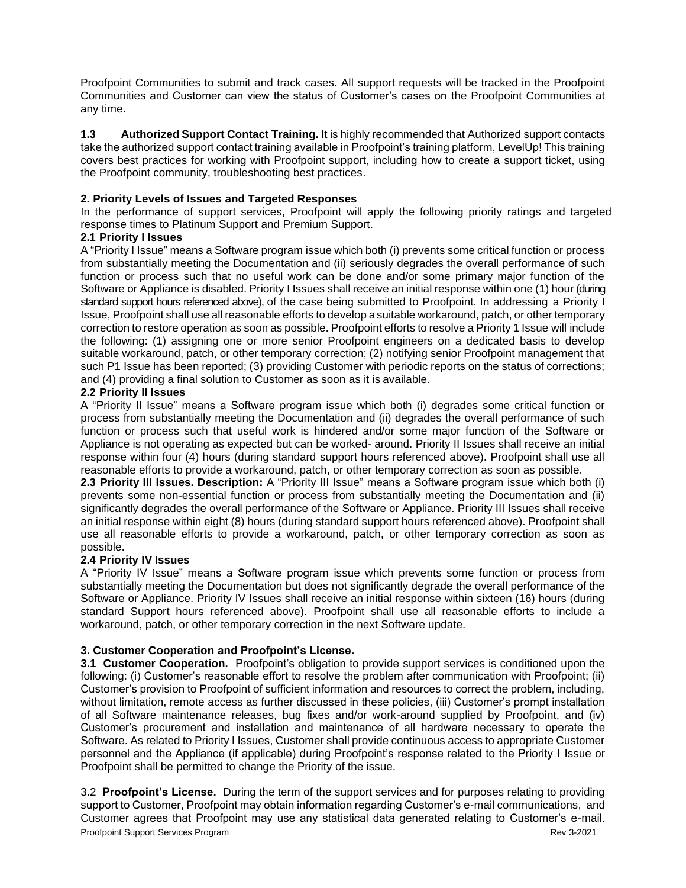Proofpoint Communities to submit and track cases. All support requests will be tracked in the Proofpoint Communities and Customer can view the status of Customer's cases on the Proofpoint Communities at any time.

**1.3 Authorized Support Contact Training.** It is highly recommended that Authorized support contacts take the authorized support contact training available in Proofpoint's training platform, LevelUp! This training covers best practices for working with Proofpoint support, including how to create a support ticket, using the Proofpoint community, troubleshooting best practices.

# **2. Priority Levels of Issues and Targeted Responses**

In the performance of support services, Proofpoint will apply the following priority ratings and targeted response times to Platinum Support and Premium Support.

## **2.1 Priority I Issues**

A "Priority I Issue" means a Software program issue which both (i) prevents some critical function or process from substantially meeting the Documentation and (ii) seriously degrades the overall performance of such function or process such that no useful work can be done and/or some primary major function of the Software or Appliance is disabled. Priority I Issues shall receive an initial response within one (1) hour (during standard support hours referenced above), of the case being submitted to Proofpoint. In addressing a Priority I Issue, Proofpoint shall use all reasonable efforts to develop a suitable workaround, patch, or other temporary correction to restore operation as soon as possible. Proofpoint efforts to resolve a Priority 1 Issue will include the following: (1) assigning one or more senior Proofpoint engineers on a dedicated basis to develop suitable workaround, patch, or other temporary correction; (2) notifying senior Proofpoint management that such P1 Issue has been reported; (3) providing Customer with periodic reports on the status of corrections; and (4) providing a final solution to Customer as soon as it is available.

## **2.2 Priority II Issues**

A "Priority II Issue" means a Software program issue which both (i) degrades some critical function or process from substantially meeting the Documentation and (ii) degrades the overall performance of such function or process such that useful work is hindered and/or some major function of the Software or Appliance is not operating as expected but can be worked- around. Priority II Issues shall receive an initial response within four (4) hours (during standard support hours referenced above). Proofpoint shall use all reasonable efforts to provide a workaround, patch, or other temporary correction as soon as possible.

**2.3 Priority III Issues. Description:** A "Priority III Issue" means a Software program issue which both (i) prevents some non-essential function or process from substantially meeting the Documentation and (ii) significantly degrades the overall performance of the Software or Appliance. Priority III Issues shall receive an initial response within eight (8) hours (during standard support hours referenced above). Proofpoint shall use all reasonable efforts to provide a workaround, patch, or other temporary correction as soon as possible.

#### **2.4 Priority IV Issues**

A "Priority IV Issue" means a Software program issue which prevents some function or process from substantially meeting the Documentation but does not significantly degrade the overall performance of the Software or Appliance. Priority IV Issues shall receive an initial response within sixteen (16) hours (during standard Support hours referenced above). Proofpoint shall use all reasonable efforts to include a workaround, patch, or other temporary correction in the next Software update.

# **3. Customer Cooperation and Proofpoint's License.**

**3.1 Customer Cooperation.** Proofpoint's obligation to provide support services is conditioned upon the following: (i) Customer's reasonable effort to resolve the problem after communication with Proofpoint; (ii) Customer's provision to Proofpoint of sufficient information and resources to correct the problem, including, without limitation, remote access as further discussed in these policies, (iii) Customer's prompt installation of all Software maintenance releases, bug fixes and/or work-around supplied by Proofpoint, and (iv) Customer's procurement and installation and maintenance of all hardware necessary to operate the Software. As related to Priority I Issues, Customer shall provide continuous access to appropriate Customer personnel and the Appliance (if applicable) during Proofpoint's response related to the Priority I Issue or Proofpoint shall be permitted to change the Priority of the issue.

**Proofpoint Support Services Program Community Community Community Community Community Community Community Community Community Community Community Community Community Community Community Community Community Community Commu** 3.2 **Proofpoint's License.** During the term of the support services and for purposes relating to providing support to Customer, Proofpoint may obtain information regarding Customer's e-mail communications, and Customer agrees that Proofpoint may use any statistical data generated relating to Customer's e-mail.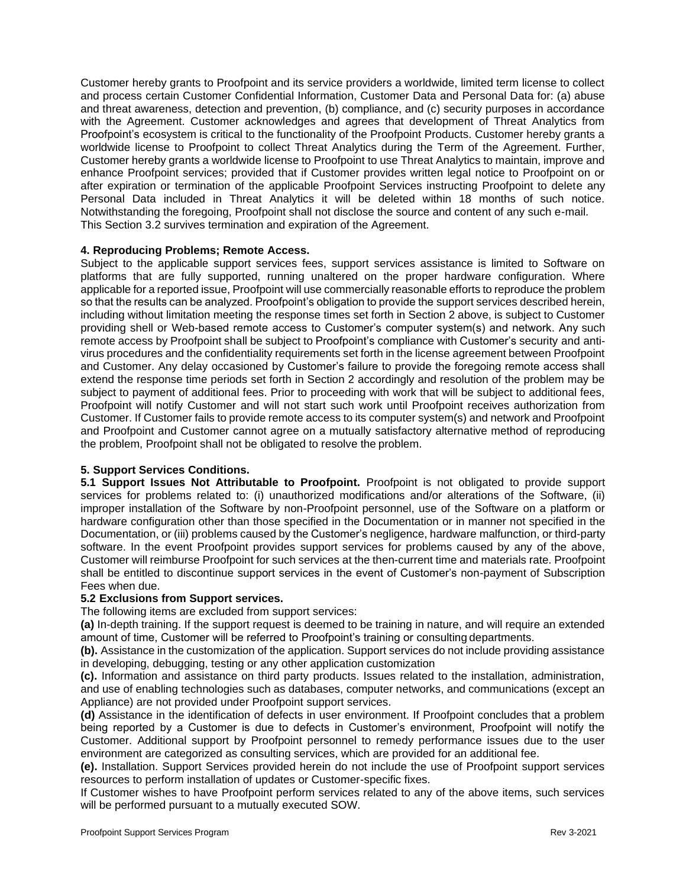Customer hereby grants to Proofpoint and its service providers a worldwide, limited term license to collect and process certain Customer Confidential Information, Customer Data and Personal Data for: (a) abuse and threat awareness, detection and prevention, (b) compliance, and (c) security purposes in accordance with the Agreement. Customer acknowledges and agrees that development of Threat Analytics from Proofpoint's ecosystem is critical to the functionality of the Proofpoint Products. Customer hereby grants a worldwide license to Proofpoint to collect Threat Analytics during the Term of the Agreement. Further, Customer hereby grants a worldwide license to Proofpoint to use Threat Analytics to maintain, improve and enhance Proofpoint services; provided that if Customer provides written legal notice to Proofpoint on or after expiration or termination of the applicable Proofpoint Services instructing Proofpoint to delete any Personal Data included in Threat Analytics it will be deleted within 18 months of such notice. Notwithstanding the foregoing, Proofpoint shall not disclose the source and content of any such e-mail. This Section 3.2 survives termination and expiration of the Agreement.

## **4. Reproducing Problems; Remote Access.**

Subject to the applicable support services fees, support services assistance is limited to Software on platforms that are fully supported, running unaltered on the proper hardware configuration. Where applicable for a reported issue, Proofpoint will use commercially reasonable efforts to reproduce the problem so that the results can be analyzed. Proofpoint's obligation to provide the support services described herein, including without limitation meeting the response times set forth in Section 2 above, is subject to Customer providing shell or Web-based remote access to Customer's computer system(s) and network. Any such remote access by Proofpoint shall be subject to Proofpoint's compliance with Customer's security and antivirus procedures and the confidentiality requirements set forth in the license agreement between Proofpoint and Customer. Any delay occasioned by Customer's failure to provide the foregoing remote access shall extend the response time periods set forth in Section 2 accordingly and resolution of the problem may be subject to payment of additional fees. Prior to proceeding with work that will be subject to additional fees, Proofpoint will notify Customer and will not start such work until Proofpoint receives authorization from Customer. If Customer fails to provide remote access to its computer system(s) and network and Proofpoint and Proofpoint and Customer cannot agree on a mutually satisfactory alternative method of reproducing the problem, Proofpoint shall not be obligated to resolve the problem.

#### **5. Support Services Conditions.**

**5.1 Support Issues Not Attributable to Proofpoint.** Proofpoint is not obligated to provide support services for problems related to: (i) unauthorized modifications and/or alterations of the Software, (ii) improper installation of the Software by non-Proofpoint personnel, use of the Software on a platform or hardware configuration other than those specified in the Documentation or in manner not specified in the Documentation, or (iii) problems caused by the Customer's negligence, hardware malfunction, or third-party software. In the event Proofpoint provides support services for problems caused by any of the above, Customer will reimburse Proofpoint for such services at the then-current time and materials rate. Proofpoint shall be entitled to discontinue support services in the event of Customer's non-payment of Subscription Fees when due.

#### **5.2 Exclusions from Support services.**

The following items are excluded from support services:

**(a)** In-depth training. If the support request is deemed to be training in nature, and will require an extended amount of time, Customer will be referred to Proofpoint's training or consulting departments.

**(b).** Assistance in the customization of the application. Support services do not include providing assistance in developing, debugging, testing or any other application customization

**(c).** Information and assistance on third party products. Issues related to the installation, administration, and use of enabling technologies such as databases, computer networks, and communications (except an Appliance) are not provided under Proofpoint support services.

**(d)** Assistance in the identification of defects in user environment. If Proofpoint concludes that a problem being reported by a Customer is due to defects in Customer's environment, Proofpoint will notify the Customer. Additional support by Proofpoint personnel to remedy performance issues due to the user environment are categorized as consulting services, which are provided for an additional fee.

**(e).** Installation. Support Services provided herein do not include the use of Proofpoint support services resources to perform installation of updates or Customer-specific fixes.

If Customer wishes to have Proofpoint perform services related to any of the above items, such services will be performed pursuant to a mutually executed SOW.